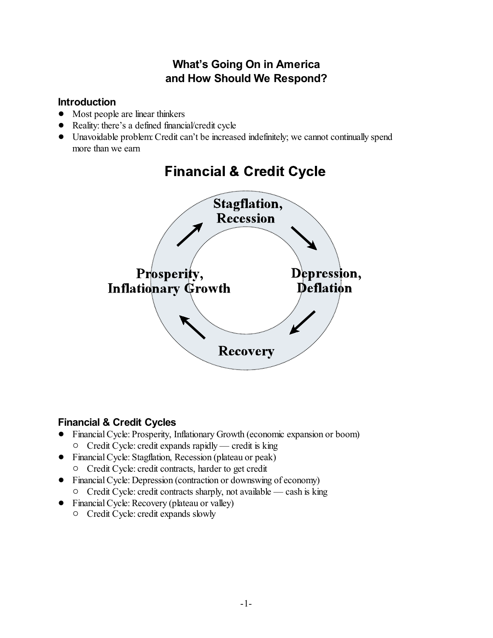# **What's Going On in America and How Should We Respond?**

## **Introduction**

- Most people are linear thinkers
- Reality: there's a defined financial/credit cycle
- ! Unavoidable problem:Credit can't be increased indefinitely; we cannot continually spend more than we earn



# **Financial & Credit Cycle**

## **Financial & Credit Cycles**

- ! Financial Cycle: Prosperity, Inflationary Growth (economic expansion or boom)  $\circ$  Credit Cycle: credit expands rapidly — credit is king
- Financial Cycle: Stagflation, Recession (plateau or peak)
	- $\circ$  Credit Cycle: credit contracts, harder to get credit
- Financial Cycle: Depression (contraction or downswing of economy)  $\circ$  Credit Cycle: credit contracts sharply, not available — cash is king
- Financial Cycle: Recovery (plateau or valley)
	- $\circ$  Credit Cycle: credit expands slowly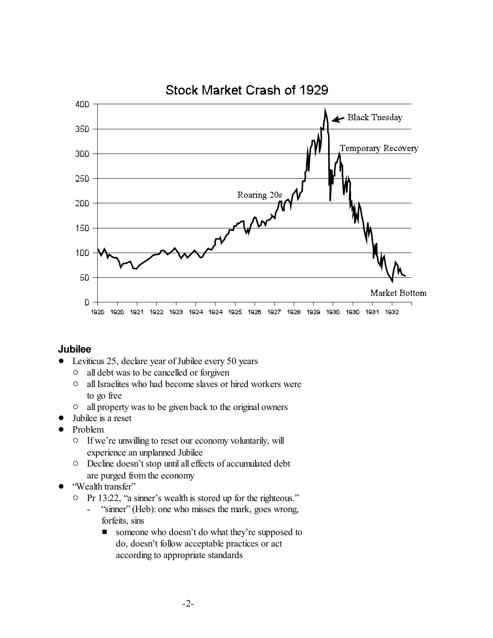

#### **Jubilee**

- Leviticus 25, declare year of Jubilee every 50 years
	- $\circ$  all debt was to be cancelled or forgiven
	- $\circ$  all Israelites who had become slaves or hired workers were to go free
	- <sup>o</sup> all property was to be given back to the original owners
- ! Jubilee is a reset
- Problem
	- $\circ$  If we're unwilling to reset our economy voluntarily, will experience an unplanned Jubilee
	- $\circ$  Decline doesn't stop until all effects of accumulated debt are purged from the economy
- "Wealth transfer"
	- Pr 13:22, "a sinner's wealth is stored up for the righteous."
		- "sinner" (Heb): one who misses the mark, goes wrong, forfeits, sins
			- **E** someone who doesn't do what they're supposed to do, doesn't follow acceptable practices or act according to appropriate standards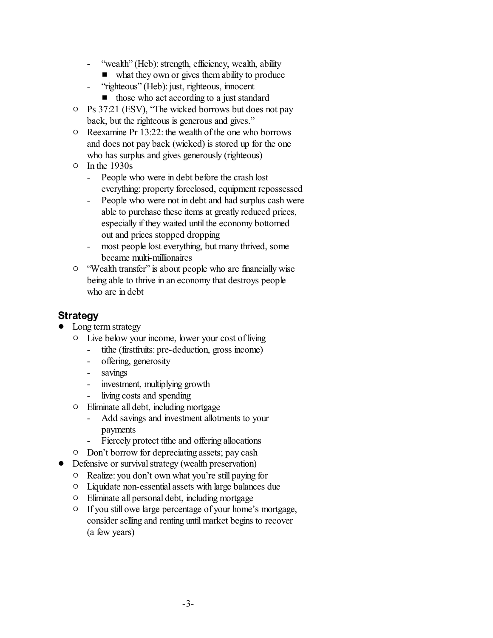- "wealth" (Heb): strength, efficiency, wealth, ability
	- $\blacksquare$  what they own or gives them ability to produce
- "righteous" (Heb): just, righteous, innocent
	- $\blacksquare$  those who act according to a just standard
- $\circ$  Ps 37:21 (ESV), "The wicked borrows but does not pay back, but the righteous is generous and gives."
- $\circ$  Reexamine Pr 13:22: the wealth of the one who borrows and does not pay back (wicked) is stored up for the one who has surplus and gives generously (righteous)
- $\circ$  In the 1930s
	- People who were in debt before the crash lost everything: property foreclosed, equipment repossessed
	- People who were not in debt and had surplus cash were able to purchase these items at greatly reduced prices, especially if they waited until the economy bottomed out and prices stopped dropping
	- most people lost everything, but many thrived, some became multi-millionaires
- <sup>o</sup> "Wealth transfer" is about people who are financially wise being able to thrive in an economy that destroys people who are in debt

#### **Strategy**

- Long term strategy
	- $\circ$  Live below your income, lower your cost of living
		- tithe (firstfruits: pre-deduction, gross income)
		- offering, generosity
		- savings
		- investment, multiplying growth
		- living costs and spending
	- $\circ$  Eliminate all debt, including mortgage
		- Add savings and investment allotments to your payments
		- Fiercely protect tithe and offering allocations
	- <sup>o</sup> Don't borrow for depreciating assets; pay cash
- Defensive or survival strategy (wealth preservation)
	- $\circ$  Realize: you don't own what you're still paying for
	- $\circ$  Liquidate non-essential assets with large balances due
	- $\circ$  Eliminate all personal debt, including mortgage
	- $\circ$  If you still owe large percentage of your home's mortgage, consider selling and renting until market begins to recover (a few years)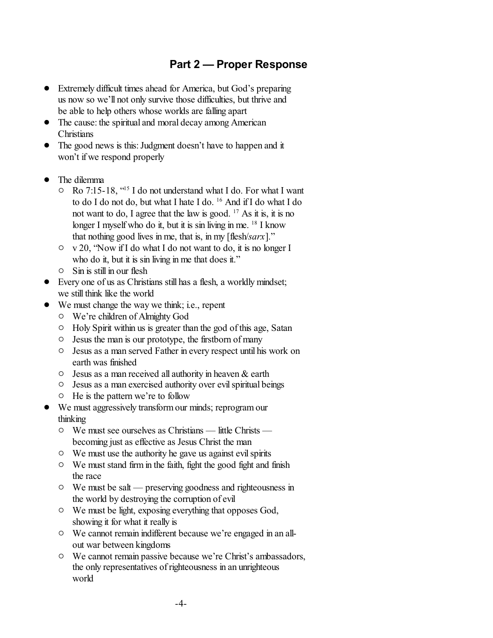### **Part 2 — Proper Response**

- ! Extremely difficult times ahead for America, but God's preparing us now so we'll not only survive those difficulties, but thrive and be able to help others whose worlds are falling apart
- The cause: the spiritual and moral decay among American **Christians**
- The good news is this: Judgment doesn't have to happen and it won't if we respond properly
- ! The dilemma
	- $\circ$  Ro 7:15-18, "<sup>15</sup> I do not understand what I do. For what I want to do I do not do, but what I hate I do. <sup>16</sup> And if I do what I do not want to do, I agree that the law is good.  $17$  As it is, it is no longer I myself who do it, but it is sin living in me. <sup>18</sup> I know that nothing good lives in me, that is, in my [flesh/*sarx*]."
	- $\circ \quad v \, 20$ , "Now if I do what I do not want to do, it is no longer I who do it, but it is sin living in me that does it."
	- $\circ$  Sin is still in our flesh
- ! Every one of us as Christians still has a flesh, a worldly mindset; we still think like the world
- ! We must change the way we think; i.e., repent
	- $\circ$  We're children of Almighty God
	- $\circ$  Holy Spirit within us is greater than the god of this age, Satan
	- $\circ$  Jesus the man is our prototype, the firstborn of many
	- $\circ$  Jesus as a man served Father in every respect until his work on earth was finished
	- $\circ$  Jesus as a man received all authority in heaven & earth
	- $\circ$  Jesus as a man exercised authority over evil spiritual beings
	- $\circ$  He is the pattern we're to follow
- ! We must aggressively transformour minds; reprogram our thinking
	- $\circ$  We must see ourselves as Christians little Christs becoming just as effective as Jesus Christ the man
	- $\circ$  We must use the authority he gave us against evil spirits
	- $\circ$  We must stand firm in the faith, fight the good fight and finish the race
	- $\circ$  We must be salt preserving goodness and righteousness in the world by destroying the corruption of evil
	- $\circ$  We must be light, exposing everything that opposes God, showing it for what it really is
	- $\circ$  We cannot remain indifferent because we're engaged in an allout war between kingdoms
	- $\circ$  We cannot remain passive because we're Christ's ambassadors, the only representatives ofrighteousness in an unrighteous world